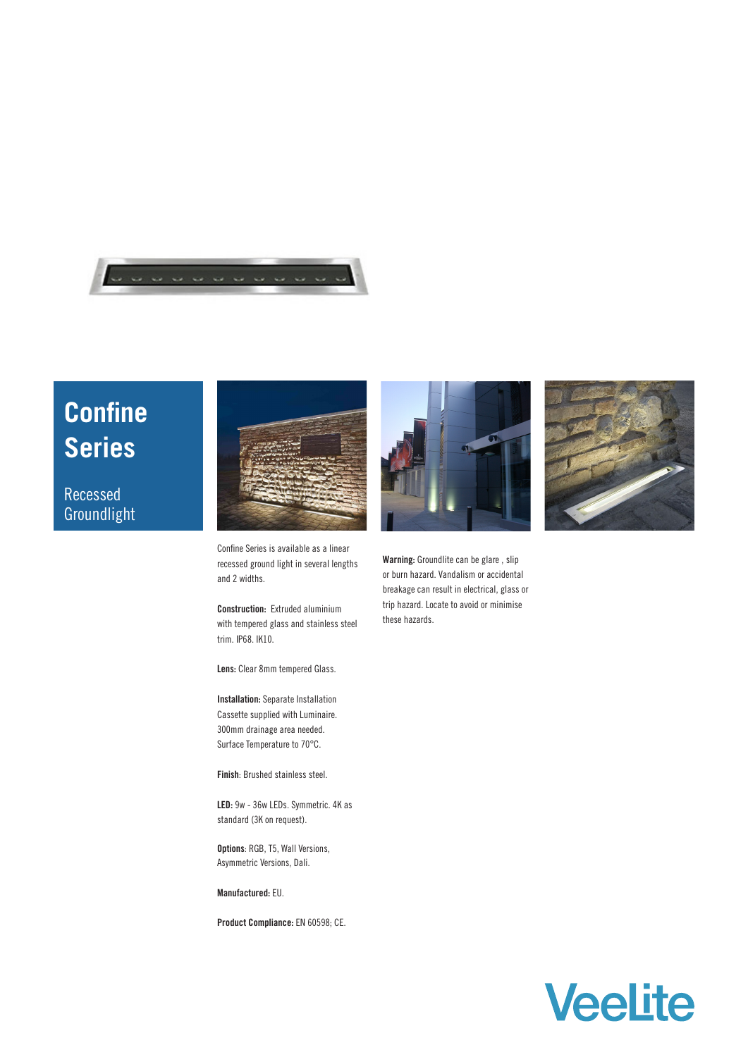

## **Confine Series**

## Recessed Groundlight



Confine Series is available as a linear recessed ground light in several lengths and 2 widths.

**Construction:** Extruded aluminium with tempered glass and stainless steel trim. IP68. IK10.

**Lens:** Clear 8mm tempered Glass.

**Installation:** Separate Installation Cassette supplied with Luminaire. 300mm drainage area needed. Surface Temperature to 70°C.

**Finish**: Brushed stainless steel.

**LED:** 9w - 36w LEDs. Symmetric. 4K as standard (3K on request).

**Options**: RGB, T5, Wall Versions, Asymmetric Versions, Dali.

**Manufactured:** EU.

**Product Compliance:** EN 60598; CE.



**Warning:** Groundlite can be glare , slip or burn hazard. Vandalism or accidental breakage can result in electrical, glass or trip hazard. Locate to avoid or minimise these hazards.



## **Veelite**